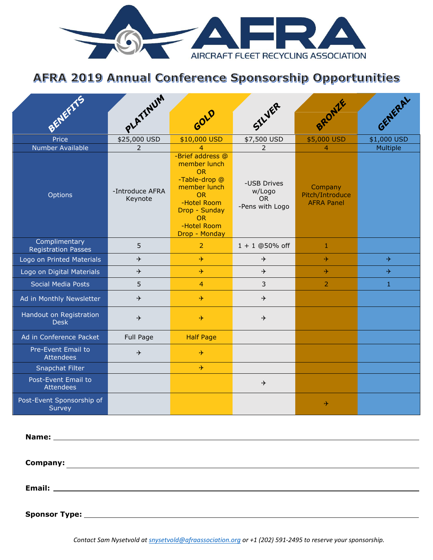

# **AFRA 2019 Annual Conference Sponsorship Opportunities**

| BENEFITS                                    | PLATINUM                                     | GOLD                                                                                                                                                                                 | SILVER                                                                  | BRONZE                                                            | GENERAL         |
|---------------------------------------------|----------------------------------------------|--------------------------------------------------------------------------------------------------------------------------------------------------------------------------------------|-------------------------------------------------------------------------|-------------------------------------------------------------------|-----------------|
|                                             |                                              |                                                                                                                                                                                      |                                                                         |                                                                   |                 |
| Price                                       | \$25,000 USD                                 | \$10,000 USD                                                                                                                                                                         | \$7,500 USD                                                             | \$5,000 USD                                                       | \$1,000 USD     |
| Number Available<br>Options                 | $\overline{2}$<br>-Introduce AFRA<br>Keynote | $\overline{4}$<br>-Brief address @<br>member lunch<br><b>OR</b><br>-Table-drop @<br>member lunch<br><b>OR</b><br>-Hotel Room<br>Drop - Sunday<br>OR.<br>-Hotel Room<br>Drop - Monday | $\overline{2}$<br>-USB Drives<br>w/Logo<br><b>OR</b><br>-Pens with Logo | $\overline{4}$<br>Company<br>Pitch/Introduce<br><b>AFRA Panel</b> | <b>Multiple</b> |
| Complimentary<br><b>Registration Passes</b> | 5                                            | $\overline{2}$                                                                                                                                                                       | $1 + 1$ @50% off                                                        | $\mathbf{1}$                                                      |                 |
| Logo on Printed Materials                   | $\rightarrow$                                | $\rightarrow$                                                                                                                                                                        | $\rightarrow$                                                           | $\rightarrow$                                                     | $\rightarrow$   |
| Logo on Digital Materials                   | $\rightarrow$                                | $\rightarrow$                                                                                                                                                                        | $\rightarrow$                                                           | $\rightarrow$                                                     | $\rightarrow$   |
| Social Media Posts                          | 5                                            | $\overline{4}$                                                                                                                                                                       | 3                                                                       | $\overline{2}$                                                    | $\mathbf{1}$    |
| Ad in Monthly Newsletter                    | $\rightarrow$                                | $\rightarrow$                                                                                                                                                                        | $\rightarrow$                                                           |                                                                   |                 |
| Handout on Registration<br><b>Desk</b>      | $\rightarrow$                                | $\rightarrow$                                                                                                                                                                        | $\rightarrow$                                                           |                                                                   |                 |
| Ad in Conference Packet                     | <b>Full Page</b>                             | <b>Half Page</b>                                                                                                                                                                     |                                                                         |                                                                   |                 |
| Pre-Event Email to<br><b>Attendees</b>      | $\rightarrow$                                | $\rightarrow$                                                                                                                                                                        |                                                                         |                                                                   |                 |
| <b>Snapchat Filter</b>                      |                                              | $\rightarrow$                                                                                                                                                                        |                                                                         |                                                                   |                 |
| Post-Event Email to<br><b>Attendees</b>     |                                              |                                                                                                                                                                                      | $\rightarrow$                                                           |                                                                   |                 |
| Post-Event Sponsorship of<br>Survey         |                                              |                                                                                                                                                                                      |                                                                         | $\rightarrow$                                                     |                 |

| Company:<br>,我们也不会有什么。""我们的人,我们也不会有什么?""我们的人,我们也不会有什么?""我们的人,我们的人,我们的人,我们的人,我们的人,我们的人,我们的人,我 |  |
|----------------------------------------------------------------------------------------------|--|
|                                                                                              |  |
|                                                                                              |  |
|                                                                                              |  |
|                                                                                              |  |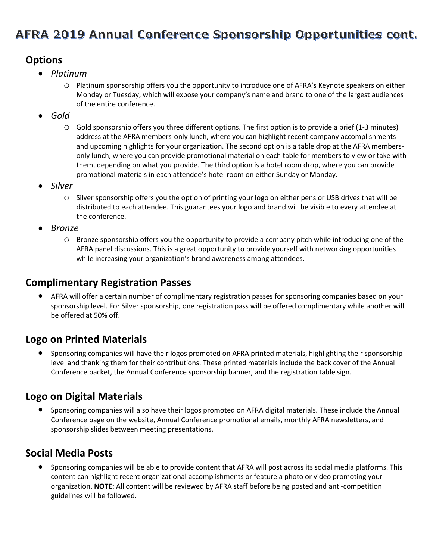# **AFRA 2019 Annual Conference Sponsorship Opportunities cont.**

# **Options**

- *Platinum*
	- o Platinum sponsorship offers you the opportunity to introduce one of AFRA's Keynote speakers on either Monday or Tuesday, which will expose your company's name and brand to one of the largest audiences of the entire conference.
- *Gold*
	- o Gold sponsorship offers you three different options. The first option is to provide a brief (1-3 minutes) address at the AFRA members-only lunch, where you can highlight recent company accomplishments and upcoming highlights for your organization. The second option is a table drop at the AFRA membersonly lunch, where you can provide promotional material on each table for members to view or take with them, depending on what you provide. The third option is a hotel room drop, where you can provide promotional materials in each attendee's hotel room on either Sunday or Monday.
- *Silver*
	- o Silver sponsorship offers you the option of printing your logo on either pens or USB drives that will be distributed to each attendee. This guarantees your logo and brand will be visible to every attendee at the conference.
- *Bronze*
	- o Bronze sponsorship offers you the opportunity to provide a company pitch while introducing one of the AFRA panel discussions. This is a great opportunity to provide yourself with networking opportunities while increasing your organization's brand awareness among attendees.

# **Complimentary Registration Passes**

 AFRA will offer a certain number of complimentary registration passes for sponsoring companies based on your sponsorship level. For Silver sponsorship, one registration pass will be offered complimentary while another will be offered at 50% off.

# **Logo on Printed Materials**

 Sponsoring companies will have their logos promoted on AFRA printed materials, highlighting their sponsorship level and thanking them for their contributions. These printed materials include the back cover of the Annual Conference packet, the Annual Conference sponsorship banner, and the registration table sign.

# **Logo on Digital Materials**

 Sponsoring companies will also have their logos promoted on AFRA digital materials. These include the Annual Conference page on the website, Annual Conference promotional emails, monthly AFRA newsletters, and sponsorship slides between meeting presentations.

# **Social Media Posts**

 Sponsoring companies will be able to provide content that AFRA will post across its social media platforms. This content can highlight recent organizational accomplishments or feature a photo or video promoting your organization. **NOTE:** All content will be reviewed by AFRA staff before being posted and anti-competition guidelines will be followed.